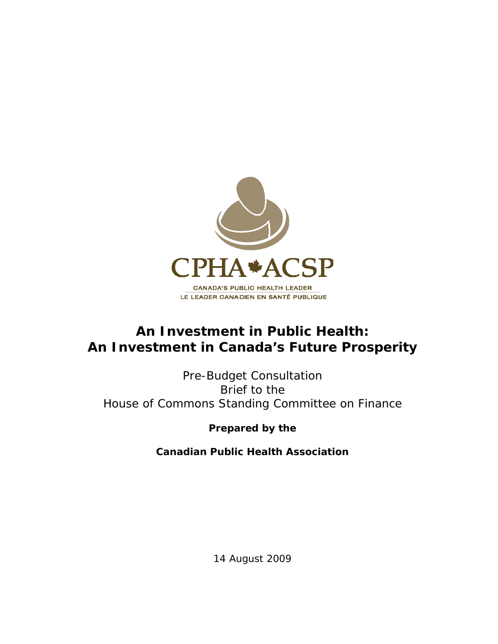

# **An Investment in Public Health: An Investment in Canada's Future Prosperity**

Pre-Budget Consultation Brief to the House of Commons Standing Committee on Finance

**Prepared by the** 

**Canadian Public Health Association** 

14 August 2009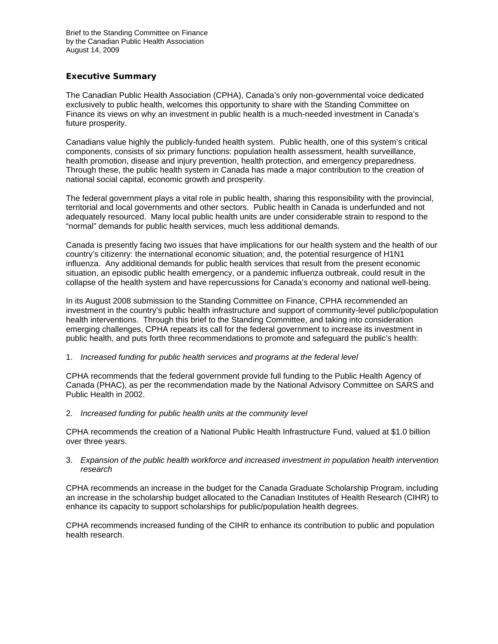## **Executive Summary**

The Canadian Public Health Association (CPHA), Canada's only non-governmental voice dedicated exclusively to public health, welcomes this opportunity to share with the Standing Committee on Finance its views on why an investment in public health is a much-needed investment in Canada's future prosperity.

Canadians value highly the publicly-funded health system. Public health, one of this system's critical components, consists of six primary functions: population health assessment, health surveillance, health promotion, disease and injury prevention, health protection, and emergency preparedness. Through these, the public health system in Canada has made a major contribution to the creation of national social capital, economic growth and prosperity.

The federal government plays a vital role in public health, sharing this responsibility with the provincial, territorial and local governments and other sectors. Public health in Canada is underfunded and not adequately resourced. Many local public health units are under considerable strain to respond to the "normal" demands for public health services, much less additional demands.

Canada is presently facing two issues that have implications for our health system and the health of our country's citizenry: the international economic situation; and, the potential resurgence of H1N1 influenza. Any additional demands for public health services that result from the present economic situation, an episodic public health emergency, or a pandemic influenza outbreak, could result in the collapse of the health system and have repercussions for Canada's economy and national well-being.

In its August 2008 submission to the Standing Committee on Finance, CPHA recommended an investment in the country's public health infrastructure and support of community-level public/population health interventions. Through this brief to the Standing Committee, and taking into consideration emerging challenges, CPHA repeats its call for the federal government to increase its investment in public health, and puts forth three recommendations to promote and safeguard the public's health:

## 1. *Increased funding for public health services and programs at the federal level*

CPHA recommends that the federal government provide full funding to the Public Health Agency of Canada (PHAC), as per the recommendation made by the National Advisory Committee on SARS and Public Health in 2002.

2. *Increased funding for public health units at the community level* 

CPHA recommends the creation of a National Public Health Infrastructure Fund, valued at \$1.0 billion over three years.

#### 3. *Expansion of the public health workforce and increased investment in population health intervention research*

CPHA recommends an increase in the budget for the Canada Graduate Scholarship Program, including an increase in the scholarship budget allocated to the Canadian Institutes of Health Research (CIHR) to enhance its capacity to support scholarships for public/population health degrees.

CPHA recommends increased funding of the CIHR to enhance its contribution to public and population health research.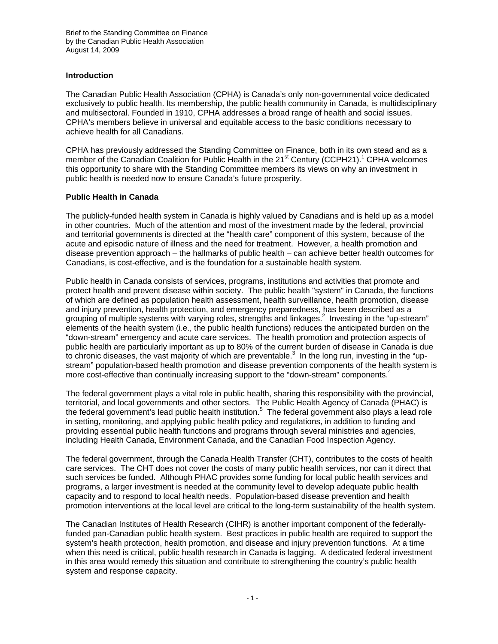## **Introduction**

The Canadian Public Health Association (CPHA) is Canada's only non-governmental voice dedicated exclusively to public health. Its membership, the public health community in Canada, is multidisciplinary and multisectoral. Founded in 1910, CPHA addresses a broad range of health and social issues. CPHA's members believe in universal and equitable access to the basic conditions necessary to achieve health for all Canadians.

CPHA has previously addressed the Standing Committee on Finance, both in its own stead and as a member of the Canadian Coalition for Public Health in the 21<sup>st</sup> Century (CCPH21).<sup>1</sup> CPHA welcomes this opportunity to share with the Standing Committee members its views on why an investment in public health is needed now to ensure Canada's future prosperity.

## **Public Health in Canada**

The publicly-funded health system in Canada is highly valued by Canadians and is held up as a model in other countries. Much of the attention and most of the investment made by the federal, provincial and territorial governments is directed at the "health care" component of this system, because of the acute and episodic nature of illness and the need for treatment. However, a health promotion and disease prevention approach – the hallmarks of public health – can achieve better health outcomes for Canadians, is cost-effective, and is the foundation for a sustainable health system.

Public health in Canada consists of services, programs, institutions and activities that promote and protect health and prevent disease within society. The public health "system" in Canada, the functions of which are defined as population health assessment, health surveillance, health promotion, disease and injury prevention, health protection, and emergency preparedness, has been described as a grouping of multiple systems with varying roles, strengths and linkages.<sup>2</sup> Investing in the "up-stream" elements of the health system (i.e., the public health functions) reduces the anticipated burden on the "down-stream" emergency and acute care services. The health promotion and protection aspects of public health are particularly important as up to 80% of the current burden of disease in Canada is due to chronic diseases, the vast majority of which are preventable.<sup>3</sup> In the long run, investing in the "upstream" population-based health promotion and disease prevention components of the health system is more cost-effective than continually increasing support to the "down-stream" components.<sup>4</sup>

The federal government plays a vital role in public health, sharing this responsibility with the provincial, territorial, and local governments and other sectors. The Public Health Agency of Canada (PHAC) is the federal government's lead public health institution.<sup>5</sup> The federal government also plays a lead role in setting, monitoring, and applying public health policy and regulations, in addition to funding and providing essential public health functions and programs through several ministries and agencies, including Health Canada, Environment Canada, and the Canadian Food Inspection Agency.

The federal government, through the Canada Health Transfer (CHT), contributes to the costs of health care services. The CHT does not cover the costs of many public health services, nor can it direct that such services be funded. Although PHAC provides some funding for local public health services and programs, a larger investment is needed at the community level to develop adequate public health capacity and to respond to local health needs. Population-based disease prevention and health promotion interventions at the local level are critical to the long-term sustainability of the health system.

The Canadian Institutes of Health Research (CIHR) is another important component of the federallyfunded pan-Canadian public health system. Best practices in public health are required to support the system's health protection, health promotion, and disease and injury prevention functions. At a time when this need is critical, public health research in Canada is lagging. A dedicated federal investment in this area would remedy this situation and contribute to strengthening the country's public health system and response capacity.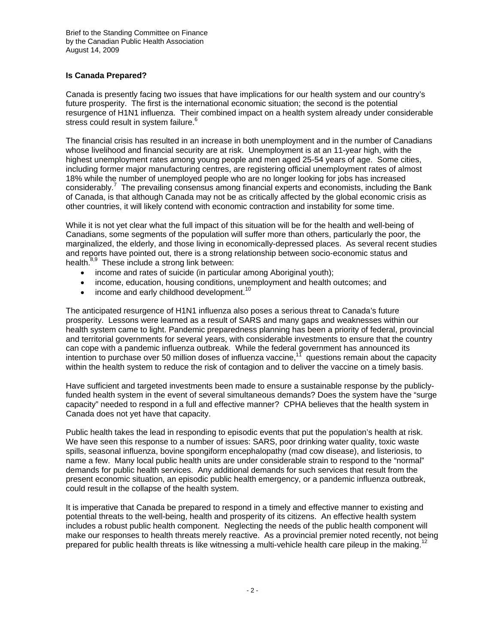## **Is Canada Prepared?**

Canada is presently facing two issues that have implications for our health system and our country's future prosperity. The first is the international economic situation; the second is the potential resurgence of H1N1 influenza. Their combined impact on a health system already under considerable stress could result in system failure.<sup>6</sup>

The financial crisis has resulted in an increase in both unemployment and in the number of Canadians whose livelihood and financial security are at risk. Unemployment is at an 11-year high, with the highest unemployment rates among young people and men aged 25-54 years of age. Some cities, including former major manufacturing centres, are registering official unemployment rates of almost 18% while the number of unemployed people who are no longer looking for jobs has increased considerably.<sup>7</sup> The prevailing consensus among financial experts and economists, including the Bank of Canada, is that although Canada may not be as critically affected by the global economic crisis as other countries, it will likely contend with economic contraction and instability for some time.

While it is not yet clear what the full impact of this situation will be for the health and well-being of Canadians, some segments of the population will suffer more than others, particularly the poor, the marginalized, the elderly, and those living in economically-depressed places. As several recent studies and reports have pointed out, there is a strong relationship between socio-economic status and health.<sup>8,9</sup> These include a strong link between:

- income and rates of suicide (in particular among Aboriginal youth);
- income, education, housing conditions, unemployment and health outcomes; and
- $\bullet$  income and early childhood development.<sup>10</sup>

The anticipated resurgence of H1N1 influenza also poses a serious threat to Canada's future prosperity. Lessons were learned as a result of SARS and many gaps and weaknesses within our health system came to light. Pandemic preparedness planning has been a priority of federal, provincial and territorial governments for several years, with considerable investments to ensure that the country can cope with a pandemic influenza outbreak. While the federal government has announced its intention to purchase over 50 million doses of influenza vaccine,<sup>11</sup> questions remain about the capacity within the health system to reduce the risk of contagion and to deliver the vaccine on a timely basis.

Have sufficient and targeted investments been made to ensure a sustainable response by the publiclyfunded health system in the event of several simultaneous demands? Does the system have the "surge capacity" needed to respond in a full and effective manner? CPHA believes that the health system in Canada does not yet have that capacity.

Public health takes the lead in responding to episodic events that put the population's health at risk. We have seen this response to a number of issues: SARS, poor drinking water quality, toxic waste spills, seasonal influenza, bovine spongiform encephalopathy (mad cow disease), and listeriosis, to name a few. Many local public health units are under considerable strain to respond to the "normal" demands for public health services. Any additional demands for such services that result from the present economic situation, an episodic public health emergency, or a pandemic influenza outbreak, could result in the collapse of the health system.

It is imperative that Canada be prepared to respond in a timely and effective manner to existing and potential threats to the well-being, health and prosperity of its citizens. An effective health system includes a robust public health component. Neglecting the needs of the public health component will make our responses to health threats merely reactive. As a provincial premier noted recently, not being prepared for public health threats is like witnessing a multi-vehicle health care pileup in the making.<sup>12</sup>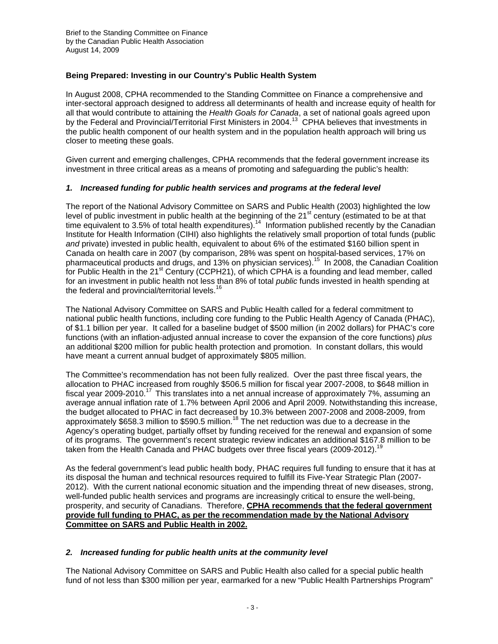# **Being Prepared: Investing in our Country's Public Health System**

In August 2008, CPHA recommended to the Standing Committee on Finance a comprehensive and inter-sectoral approach designed to address all determinants of health and increase equity of health for all that would contribute to attaining the *Health Goals for Canada*, a set of national goals agreed upon by the Federal and Provincial/Territorial First Ministers in 2004.<sup>13</sup> CPHA believes that investments in the public health component of our health system and in the population health approach will bring us closer to meeting these goals.

Given current and emerging challenges, CPHA recommends that the federal government increase its investment in three critical areas as a means of promoting and safeguarding the public's health:

## *1. Increased funding for public health services and programs at the federal level*

The report of the National Advisory Committee on SARS and Public Health (2003) highlighted the low level of public investment in public health at the beginning of the 21<sup>st</sup> century (estimated to be at that time equivalent to 3.5% of total health expenditures).<sup>14</sup> Information published recently by the Canadian Institute for Health Information (CIHI) also highlights the relatively small proportion of total funds (public *and* private) invested in public health, equivalent to about 6% of the estimated \$160 billion spent in Canada on health care in 2007 (by comparison, 28% was spent on hospital-based services, 17% on pharmaceutical products and drugs, and 13% on physician services).15 In 2008, the Canadian Coalition for Public Health in the 21<sup>st</sup> Century (CCPH21), of which CPHA is a founding and lead member, called for an investment in public health not less than 8% of total *public* funds invested in health spending at the federal and provincial/territorial levels.<sup>16</sup>

The National Advisory Committee on SARS and Public Health called for a federal commitment to national public health functions, including core funding to the Public Health Agency of Canada (PHAC), of \$1.1 billion per year. It called for a baseline budget of \$500 million (in 2002 dollars) for PHAC's core functions (with an inflation-adjusted annual increase to cover the expansion of the core functions) *plus* an additional \$200 million for public health protection and promotion. In constant dollars, this would have meant a current annual budget of approximately \$805 million.

The Committee's recommendation has not been fully realized. Over the past three fiscal years, the allocation to PHAC increased from roughly \$506.5 million for fiscal year 2007-2008, to \$648 million in fiscal year 2009-2010.<sup>17</sup> This translates into a net annual increase of approximately 7%, assuming an average annual inflation rate of 1.7% between April 2006 and April 2009. Notwithstanding this increase, the budget allocated to PHAC in fact decreased by 10.3% between 2007-2008 and 2008-2009, from approximately \$658.3 million to \$590.5 million.<sup>18</sup> The net reduction was due to a decrease in the Agency's operating budget, partially offset by funding received for the renewal and expansion of some of its programs. The government's recent strategic review indicates an additional \$167.8 million to be taken from the Health Canada and PHAC budgets over three fiscal years (2009-2012).<sup>19</sup>

As the federal government's lead public health body, PHAC requires full funding to ensure that it has at its disposal the human and technical resources required to fulfill its Five-Year Strategic Plan (2007- 2012). With the current national economic situation and the impending threat of new diseases, strong, well-funded public health services and programs are increasingly critical to ensure the well-being, prosperity, and security of Canadians. Therefore, **CPHA recommends that the federal government provide full funding to PHAC, as per the recommendation made by the National Advisory Committee on SARS and Public Health in 2002.** 

## *2. Increased funding for public health units at the community level*

The National Advisory Committee on SARS and Public Health also called for a special public health fund of not less than \$300 million per year, earmarked for a new "Public Health Partnerships Program"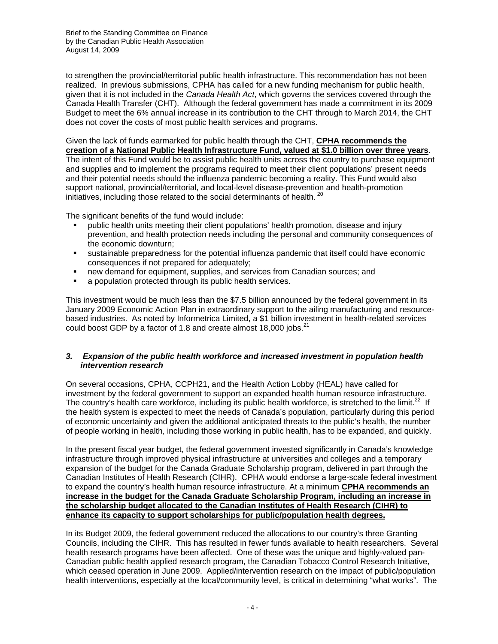to strengthen the provincial/territorial public health infrastructure. This recommendation has not been realized. In previous submissions, CPHA has called for a new funding mechanism for public health, given that it is not included in the *Canada Health Act*, which governs the services covered through the Canada Health Transfer (CHT). Although the federal government has made a commitment in its 2009 Budget to meet the 6% annual increase in its contribution to the CHT through to March 2014, the CHT does not cover the costs of most public health services and programs.

Given the lack of funds earmarked for public health through the CHT, **CPHA recommends the creation of a National Public Health Infrastructure Fund, valued at \$1.0 billion over three years**.

The intent of this Fund would be to assist public health units across the country to purchase equipment and supplies and to implement the programs required to meet their client populations' present needs and their potential needs should the influenza pandemic becoming a reality. This Fund would also support national, provincial/territorial, and local-level disease-prevention and health-promotion initiatives, including those related to the social determinants of health.<sup>20</sup>

The significant benefits of the fund would include:

- public health units meeting their client populations' health promotion, disease and injury prevention, and health protection needs including the personal and community consequences of the economic downturn;
- sustainable preparedness for the potential influenza pandemic that itself could have economic consequences if not prepared for adequately;
- new demand for equipment, supplies, and services from Canadian sources; and
- a population protected through its public health services.

This investment would be much less than the \$7.5 billion announced by the federal government in its January 2009 Economic Action Plan in extraordinary support to the ailing manufacturing and resourcebased industries. As noted by Informetrica Limited, a \$1 billion investment in health-related services could boost GDP by a factor of 1.8 and create almost 18,000 jobs. $^{21}$ 

## *3. Expansion of the public health workforce and increased investment in population health intervention research*

On several occasions, CPHA, CCPH21, and the Health Action Lobby (HEAL) have called for investment by the federal government to support an expanded health human resource infrastructure. The country's health care workforce, including its public health workforce, is stretched to the limit.<sup>22</sup> If the health system is expected to meet the needs of Canada's population, particularly during this period of economic uncertainty and given the additional anticipated threats to the public's health, the number of people working in health, including those working in public health, has to be expanded, and quickly.

In the present fiscal year budget, the federal government invested significantly in Canada's knowledge infrastructure through improved physical infrastructure at universities and colleges and a temporary expansion of the budget for the Canada Graduate Scholarship program, delivered in part through the Canadian Institutes of Health Research (CIHR). CPHA would endorse a large-scale federal investment to expand the country's health human resource infrastructure. At a minimum **CPHA recommends an increase in the budget for the Canada Graduate Scholarship Program, including an increase in the scholarship budget allocated to the Canadian Institutes of Health Research (CIHR) to enhance its capacity to support scholarships for public/population health degrees.**

In its Budget 2009, the federal government reduced the allocations to our country's three Granting Councils, including the CIHR. This has resulted in fewer funds available to health researchers. Several health research programs have been affected. One of these was the unique and highly-valued pan-Canadian public health applied research program, the Canadian Tobacco Control Research Initiative, which ceased operation in June 2009. Applied/intervention research on the impact of public/population health interventions, especially at the local/community level, is critical in determining "what works". The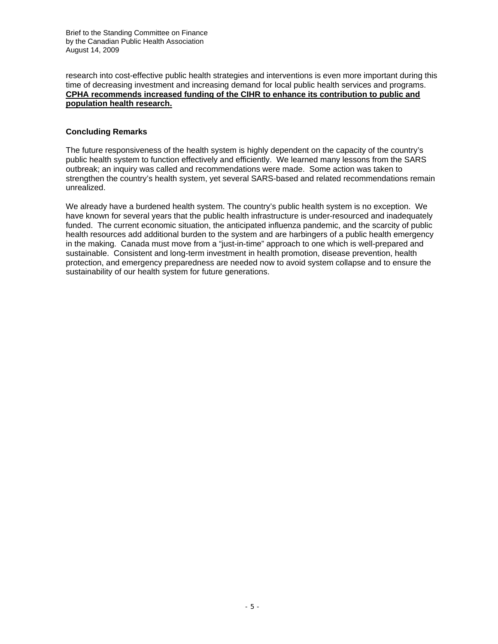research into cost-effective public health strategies and interventions is even more important during this time of decreasing investment and increasing demand for local public health services and programs. **CPHA recommends increased funding of the CIHR to enhance its contribution to public and population health research.**

## **Concluding Remarks**

The future responsiveness of the health system is highly dependent on the capacity of the country's public health system to function effectively and efficiently. We learned many lessons from the SARS outbreak; an inquiry was called and recommendations were made. Some action was taken to strengthen the country's health system, yet several SARS-based and related recommendations remain unrealized.

We already have a burdened health system. The country's public health system is no exception. We have known for several years that the public health infrastructure is under-resourced and inadequately funded. The current economic situation, the anticipated influenza pandemic, and the scarcity of public health resources add additional burden to the system and are harbingers of a public health emergency in the making. Canada must move from a "just-in-time" approach to one which is well-prepared and sustainable. Consistent and long-term investment in health promotion, disease prevention, health protection, and emergency preparedness are needed now to avoid system collapse and to ensure the sustainability of our health system for future generations.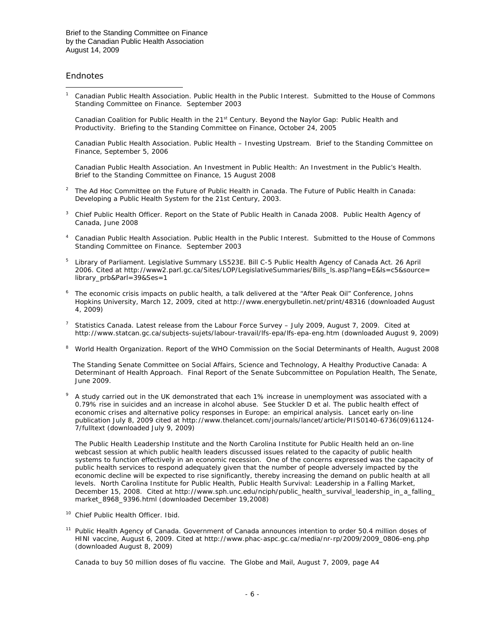#### **Endnotes**

 $\overline{a}$ 

1 Canadian Public Health Association. *Public Health in the Public Interest. Submitted to the House of Commons Standing Committee on Finance*. September 2003

Canadian Coalition for Public Health in the 21<sup>st</sup> Century. *Beyond the Naylor Gap: Public Health and Productivity. Briefing to the Standing Committee on Finance,* October 24, 2005

 Canadian Public Health Association. *Public Health – Investing Upstream. Brief to the Standing Committee on Finance*, September 5, 2006

 Canadian Public Health Association. *An Investment in Public Health: An Investment in the Public's Health. Brief to the Standing Committee on Finance*, 15 August 2008

- 2 The Ad Hoc Committee on the Future of Public Health in Canada. *The Future of Public Health in Canada: Developing a Public Health System for the 21st Century*, 2003.
- 3 Chief Public Health Officer. *Report on the State of Public Health in Canada 2008*. Public Health Agency of Canada, June 2008
- 4 Canadian Public Health Association. *Public Health in the Public Interest. Submitted to the House of Commons Standing Committee on Finance*. September 2003
- 5 Library of Parliament. Legislative Summary LS523E. Bill C-5 Public Health Agency of Canada Act. 26 April 2006. Cited at http://www2.parl.gc.ca/Sites/LOP/LegislativeSummaries/Bills\_ls.asp?lang=E&ls=c5&source= library\_prb&Parl=39&Ses=1
- 6 *The economic crisis impacts on public health*, a talk delivered at the "After Peak Oil" Conference, Johns Hopkins University, March 12, 2009, cited at http://www.energybulletin.net/print/48316 (downloaded August 4, 2009)
- 7 Statistics Canada. *Latest release from the Labour Force Survey – July 2009*, August 7, 2009. Cited at http://www.statcan.gc.ca/subjects-sujets/labour-travail/lfs-epa/lfs-epa-eng.htm (downloaded August 9, 2009)
- 8 World Health Organization. *Report of the WHO Commission on the Social Determinants of Health*, August 2008

 The Standing Senate Committee on Social Affairs, Science and Technology, *A Healthy Productive Canada: A Determinant of Health Approach. Final Report of the Senate Subcommittee on Population Health*, The Senate, June 2009.

9 A study carried out in the UK demonstrated that each 1% increase in unemployment was associated with a 0.79% rise in suicides and an increase in alcohol abuse. See Stuckler D et al. The public health effect of economic crises and alternative policy responses in Europe: an empirical analysis. *Lancet early on-line publication* July 8, 2009 cited at http://www.thelancet.com/journals/lancet/article/PIIS0140-6736(09)61124- 7/fulltext (downloaded July 9, 2009)

 The Public Health Leadership Institute and the North Carolina Institute for Public Health held an on-line webcast session at which public health leaders discussed issues related to the capacity of public health systems to function effectively in an economic recession. One of the concerns expressed was the capacity of public health services to respond adequately given that the number of people adversely impacted by the economic decline will be expected to rise significantly, thereby increasing the demand on public health at all levels. North Carolina Institute for Public Health, Public Health Survival: Leadership in a Falling Market, December 15, 2008. Cited at http://www.sph.unc.edu/nciph/public\_health\_survival\_leadership\_in\_a\_falling\_ market\_8968\_9396.html (downloaded December 19,2008)

- <sup>10</sup> Chief Public Health Officer. Ibid.
- 11 Public Health Agency of Canada. *Government of Canada announces intention to order 50.4 million doses of HINI vaccine*, August 6, 2009. Cited at http://www.phac-aspc.gc.ca/media/nr-rp/2009/2009\_0806-eng.php (downloaded August 8, 2009)

Canada to buy 50 million doses of flu vaccine. *The Globe and Mail*, August 7, 2009, page A4